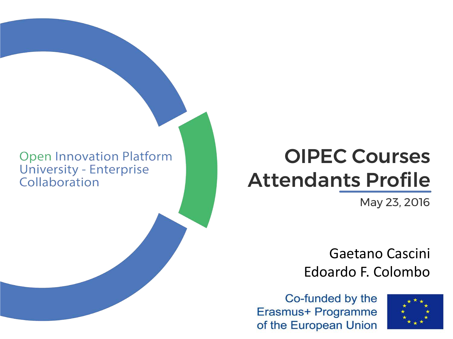#### **Open Innovation Platform University - Enterprise** Collaboration

# OIPEC Courses Attendants Profile

May 23, 2016

#### Gaetano Cascini Edoardo F. Colombo

Co-funded by the Erasmus+ Programme of the European Union

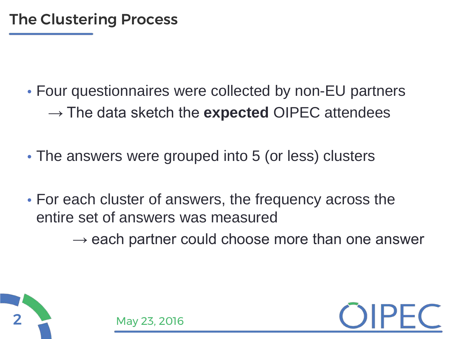- Four questionnaires were collected by non-EU partners → The data sketch the **expected** OIPEC attendees
- The answers were grouped into 5 (or less) clusters
- For each cluster of answers, the frequency across the entire set of answers was measured

 $\rightarrow$  each partner could choose more than one answer

**OIPEC** 



May 23, 2016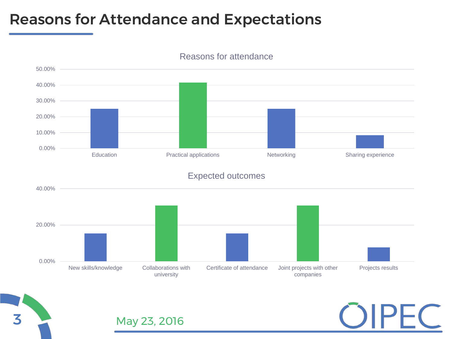#### Reasons for Attendance and Expectations

**3** May 23, 2016



OIPEC

Reasons for attendance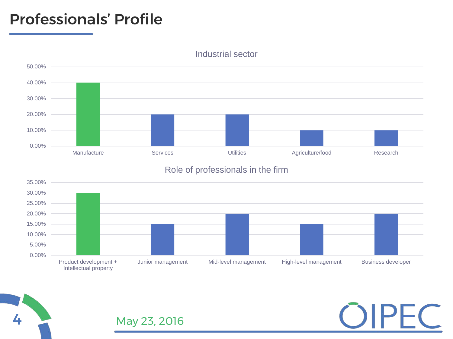### Professionals' Profile



Industrial sector

#### Role of professionals in the firm



OIPEC

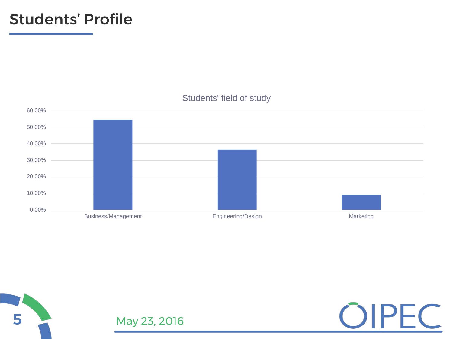







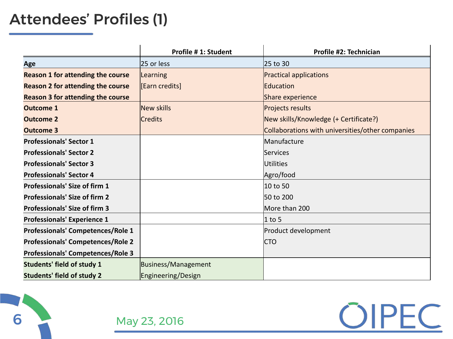## Attendees' Profiles (1)

|                                          | Profile # 1: Student       | Profile #2: Technician                           |
|------------------------------------------|----------------------------|--------------------------------------------------|
| Age                                      | 25 or less                 | 25 to 30                                         |
| <b>Reason 1 for attending the course</b> | Learning                   | Practical applications                           |
| <b>Reason 2 for attending the course</b> | [Earn credits]             | Education                                        |
| <b>Reason 3 for attending the course</b> |                            | Share experience                                 |
| <b>Outcome 1</b>                         | <b>New skills</b>          | <b>Projects results</b>                          |
| <b>Outcome 2</b>                         | <b>Credits</b>             | New skills/Knowledge (+ Certificate?)            |
| <b>Outcome 3</b>                         |                            | Collaborations with universities/other companies |
| <b>Professionals' Sector 1</b>           |                            | Manufacture                                      |
| <b>Professionals' Sector 2</b>           |                            | Services                                         |
| <b>Professionals' Sector 3</b>           |                            | Utilities                                        |
| <b>Professionals' Sector 4</b>           |                            | Agro/food                                        |
| <b>Professionals' Size of firm 1</b>     |                            | 10 to 50                                         |
| <b>Professionals' Size of firm 2</b>     |                            | 50 to 200                                        |
| <b>Professionals' Size of firm 3</b>     |                            | More than 200                                    |
| <b>Professionals' Experience 1</b>       |                            | $1$ to 5                                         |
| Professionals' Competences/Role 1        |                            | Product development                              |
| <b>Professionals' Competences/Role 2</b> |                            | <b>CTO</b>                                       |
| <b>Professionals' Competences/Role 3</b> |                            |                                                  |
| <b>Students' field of study 1</b>        | <b>Business/Management</b> |                                                  |
| <b>Students' field of study 2</b>        | Engineering/Design         |                                                  |

OIPEC

6 May 23, 2016